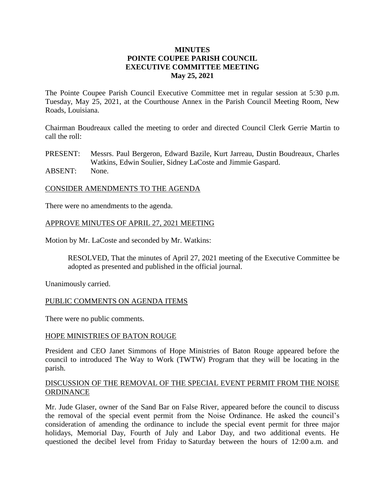# **MINUTES POINTE COUPEE PARISH COUNCIL EXECUTIVE COMMITTEE MEETING May 25, 2021**

The Pointe Coupee Parish Council Executive Committee met in regular session at 5:30 p.m. Tuesday, May 25, 2021, at the Courthouse Annex in the Parish Council Meeting Room, New Roads, Louisiana.

Chairman Boudreaux called the meeting to order and directed Council Clerk Gerrie Martin to call the roll:

PRESENT: Messrs. Paul Bergeron, Edward Bazile, Kurt Jarreau, Dustin Boudreaux, Charles Watkins, Edwin Soulier, Sidney LaCoste and Jimmie Gaspard. ABSENT: None.

# CONSIDER AMENDMENTS TO THE AGENDA

There were no amendments to the agenda.

## APPROVE MINUTES OF APRIL 27, 2021 MEETING

Motion by Mr. LaCoste and seconded by Mr. Watkins:

RESOLVED, That the minutes of April 27, 2021 meeting of the Executive Committee be adopted as presented and published in the official journal.

Unanimously carried.

#### PUBLIC COMMENTS ON AGENDA ITEMS

There were no public comments.

#### HOPE MINISTRIES OF BATON ROUGE

President and CEO Janet Simmons of Hope Ministries of Baton Rouge appeared before the council to introduced The Way to Work (TWTW) Program that they will be locating in the parish.

### DISCUSSION OF THE REMOVAL OF THE SPECIAL EVENT PERMIT FROM THE NOISE **ORDINANCE**

Mr. Jude Glaser, owner of the Sand Bar on False River, appeared before the council to discuss the removal of the special event permit from the Noise Ordinance. He asked the council's consideration of amending the ordinance to include the special event permit for three major holidays, Memorial Day, Fourth of July and Labor Day, and two additional events. He questioned the decibel level from Friday to Saturday between the hours of 12:00 a.m. and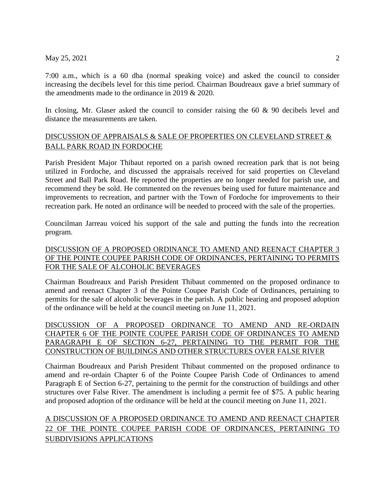# May 25, 2021 2

7:00 a.m., which is a 60 dba (normal speaking voice) and asked the council to consider increasing the decibels level for this time period. Chairman Boudreaux gave a brief summary of the amendments made to the ordinance in 2019 & 2020.

In closing, Mr. Glaser asked the council to consider raising the 60 & 90 decibels level and distance the measurements are taken.

# DISCUSSION OF APPRAISALS & SALE OF PROPERTIES ON CLEVELAND STREET & BALL PARK ROAD IN FORDOCHE

Parish President Major Thibaut reported on a parish owned recreation park that is not being utilized in Fordoche, and discussed the appraisals received for said properties on Cleveland Street and Ball Park Road. He reported the properties are no longer needed for parish use, and recommend they be sold. He commented on the revenues being used for future maintenance and improvements to recreation, and partner with the Town of Fordoche for improvements to their recreation park. He noted an ordinance will be needed to proceed with the sale of the properties.

Councilman Jarreau voiced his support of the sale and putting the funds into the recreation program.

# DISCUSSION OF A PROPOSED ORDINANCE TO AMEND AND REENACT CHAPTER 3 OF THE POINTE COUPEE PARISH CODE OF ORDINANCES, PERTAINING TO PERMITS FOR THE SALE OF ALCOHOLIC BEVERAGES

Chairman Boudreaux and Parish President Thibaut commented on the proposed ordinance to amend and reenact Chapter 3 of the Pointe Coupee Parish Code of Ordinances, pertaining to permits for the sale of alcoholic beverages in the parish. A public hearing and proposed adoption of the ordinance will be held at the council meeting on June 11, 2021.

DISCUSSION OF A PROPOSED ORDINANCE TO AMEND AND RE-ORDAIN CHAPTER 6 OF THE POINTE COUPEE PARISH CODE OF ORDINANCES TO AMEND PARAGRAPH E OF SECTION 6-27, PERTAINING TO THE PERMIT FOR THE CONSTRUCTION OF BUILDINGS AND OTHER STRUCTURES OVER FALSE RIVER

Chairman Boudreaux and Parish President Thibaut commented on the proposed ordinance to amend and re-ordain Chapter 6 of the Pointe Coupee Parish Code of Ordinances to amend Paragraph E of Section 6-27, pertaining to the permit for the construction of buildings and other structures over False River. The amendment is including a permit fee of \$75. A public hearing and proposed adoption of the ordinance will be held at the council meeting on June 11, 2021.

# A DISCUSSION OF A PROPOSED ORDINANCE TO AMEND AND REENACT CHAPTER 22 OF THE POINTE COUPEE PARISH CODE OF ORDINANCES, PERTAINING TO SUBDIVISIONS APPLICATIONS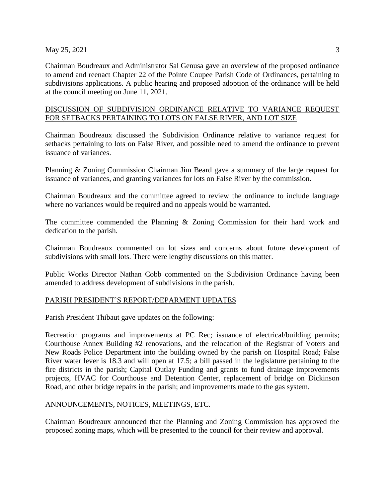### $\text{May } 25, 2021$  3

Chairman Boudreaux and Administrator Sal Genusa gave an overview of the proposed ordinance to amend and reenact Chapter 22 of the Pointe Coupee Parish Code of Ordinances, pertaining to subdivisions applications. A public hearing and proposed adoption of the ordinance will be held at the council meeting on June 11, 2021.

# DISCUSSION OF SUBDIVISION ORDINANCE RELATIVE TO VARIANCE REQUEST FOR SETBACKS PERTAINING TO LOTS ON FALSE RIVER, AND LOT SIZE

Chairman Boudreaux discussed the Subdivision Ordinance relative to variance request for setbacks pertaining to lots on False River, and possible need to amend the ordinance to prevent issuance of variances.

Planning & Zoning Commission Chairman Jim Beard gave a summary of the large request for issuance of variances, and granting variances for lots on False River by the commission.

Chairman Boudreaux and the committee agreed to review the ordinance to include language where no variances would be required and no appeals would be warranted.

The committee commended the Planning & Zoning Commission for their hard work and dedication to the parish.

Chairman Boudreaux commented on lot sizes and concerns about future development of subdivisions with small lots. There were lengthy discussions on this matter.

Public Works Director Nathan Cobb commented on the Subdivision Ordinance having been amended to address development of subdivisions in the parish.

## PARISH PRESIDENT'S REPORT/DEPARMENT UPDATES

Parish President Thibaut gave updates on the following:

Recreation programs and improvements at PC Rec; issuance of electrical/building permits; Courthouse Annex Building #2 renovations, and the relocation of the Registrar of Voters and New Roads Police Department into the building owned by the parish on Hospital Road; False River water lever is 18.3 and will open at 17.5; a bill passed in the legislature pertaining to the fire districts in the parish; Capital Outlay Funding and grants to fund drainage improvements projects, HVAC for Courthouse and Detention Center, replacement of bridge on Dickinson Road, and other bridge repairs in the parish; and improvements made to the gas system.

## ANNOUNCEMENTS, NOTICES, MEETINGS, ETC.

Chairman Boudreaux announced that the Planning and Zoning Commission has approved the proposed zoning maps, which will be presented to the council for their review and approval.